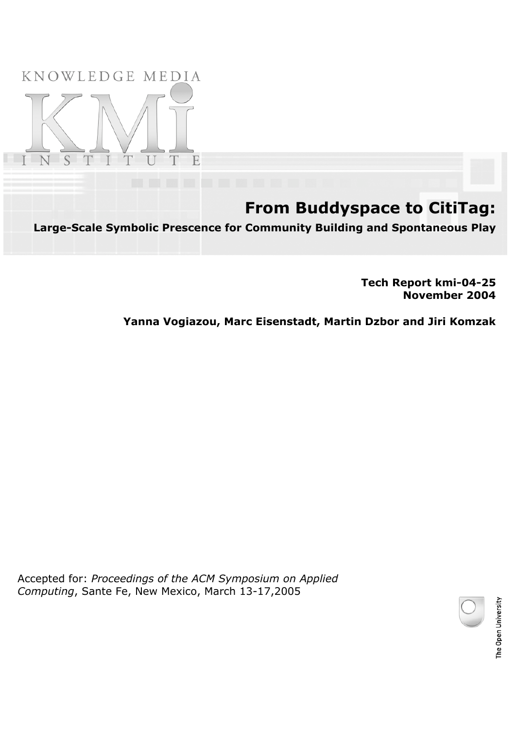KNOWLEDGE MEDIA



# **From Buddyspace to CitiTag:**

**Large-Scale Symbolic Prescence for Community Building and Spontaneous Play**

**Tech Report kmi-04-25 November 2004**

**Yanna Vogiazou, Marc Eisenstadt, Martin Dzbor and Jiri Komzak**

Accepted for: *Proceedings of the ACM Symposium on Applied Computing*, Sante Fe, New Mexico, March 13-17,2005

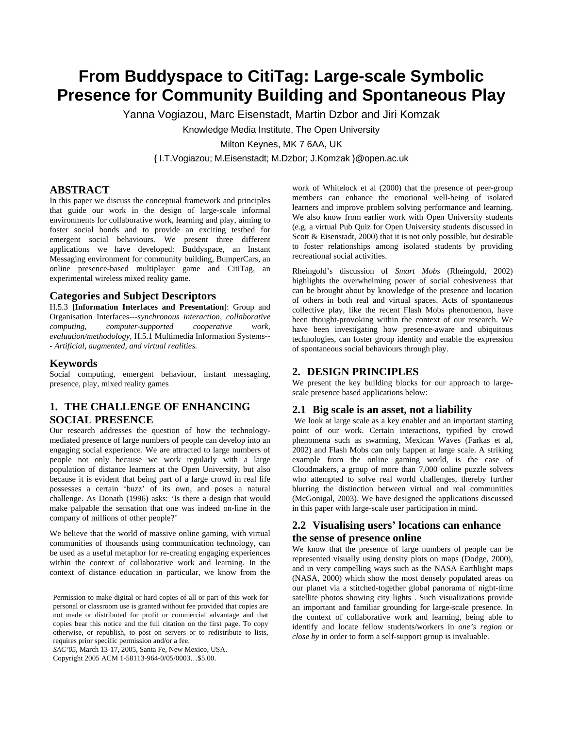## **From Buddyspace to CitiTag: Large-scale Symbolic Presence for Community Building and Spontaneous Play**

Yanna Vogiazou, Marc Eisenstadt, Martin Dzbor and Jiri Komzak

Knowledge Media Institute, The Open University

Milton Keynes, MK 7 6AA, UK

{ I.T.Vogiazou; M.Eisenstadt; M.Dzbor; J.Komzak }@open.ac.uk

#### **ABSTRACT**

In this paper we discuss the conceptual framework and principles that guide our work in the design of large-scale informal environments for collaborative work, learning and play, aiming to foster social bonds and to provide an exciting testbed for emergent social behaviours. We present three different applications we have developed: Buddyspace, an Instant Messaging environment for community building, BumperCars, an online presence-based multiplayer game and CitiTag, an experimental wireless mixed reality game.

#### **Categories and Subject Descriptors**

H.5.3 **[Information Interfaces and Presentation**]: Group and Organisation Interfaces---*synchronous interaction, collaborative computing, computer-supported cooperative work, evaluation/methodology,* H.5.1 Multimedia Information Systems**-- -** *Artificial, augmented, and virtual realities.* 

#### **Keywords**

Social computing, emergent behaviour, instant messaging, presence, play, mixed reality games

## **1. THE CHALLENGE OF ENHANCING SOCIAL PRESENCE**

Our research addresses the question of how the technologymediated presence of large numbers of people can develop into an engaging social experience. We are attracted to large numbers of people not only because we work regularly with a large population of distance learners at the Open University, but also because it is evident that being part of a large crowd in real life possesses a certain 'buzz' of its own, and poses a natural challenge. As Donath (1996) asks: 'Is there a design that would make palpable the sensation that one was indeed on-line in the company of millions of other people?'

We believe that the world of massive online gaming, with virtual communities of thousands using communication technology, can be used as a useful metaphor for re-creating engaging experiences within the context of collaborative work and learning. In the context of distance education in particular, we know from the

Permission to make digital or hard copies of all or part of this work for personal or classroom use is granted without fee provided that copies are not made or distributed for profit or commercial advantage and that copies bear this notice and the full citation on the first page. To copy otherwise, or republish, to post on servers or to redistribute to lists, requires prior specific permission and/or a fee.

*SAC'05*, March 13-17, 2005, Santa Fe, New Mexico, USA.

Copyright 2005 ACM 1-58113-964-0/05/0003…\$5.00.

work of Whitelock et al (2000) that the presence of peer-group members can enhance the emotional well-being of isolated learners and improve problem solving performance and learning. We also know from earlier work with Open University students (e.g. a virtual Pub Quiz for Open University students discussed in Scott & Eisenstadt, 2000) that it is not only possible, but desirable to foster relationships among isolated students by providing recreational social activities.

Rheingold's discussion of *Smart Mobs* (Rheingold, 2002) highlights the overwhelming power of social cohesiveness that can be brought about by knowledge of the presence and location of others in both real and virtual spaces. Acts of spontaneous collective play, like the recent Flash Mobs phenomenon, have been thought-provoking within the context of our research. We have been investigating how presence-aware and ubiquitous technologies, can foster group identity and enable the expression of spontaneous social behaviours through play.

#### **2. DESIGN PRINCIPLES**

We present the key building blocks for our approach to largescale presence based applications below:

#### **2.1 Big scale is an asset, not a liability**

We look at large scale as a key enabler and an important starting point of our work. Certain interactions, typified by crowd phenomena such as swarming, Mexican Waves (Farkas et al, 2002) and Flash Mobs can only happen at large scale. A striking example from the online gaming world, is the case of Cloudmakers, a group of more than 7,000 online puzzle solvers who attempted to solve real world challenges, thereby further blurring the distinction between virtual and real communities (McGonigal, 2003). We have designed the applications discussed in this paper with large-scale user participation in mind.

## **2.2 Visualising users' locations can enhance the sense of presence online**

We know that the presence of large numbers of people can be represented visually using density plots on maps (Dodge, 2000), and in very compelling ways such as the NASA Earthlight maps (NASA, 2000) which show the most densely populated areas on our planet via a stitched-together global panorama of night-time satellite photos showing city lights . Such visualizations provide an important and familiar grounding for large-scale presence. In the context of collaborative work and learning, being able to identify and locate fellow students/workers in *one's region* or *close by* in order to form a self-support group is invaluable.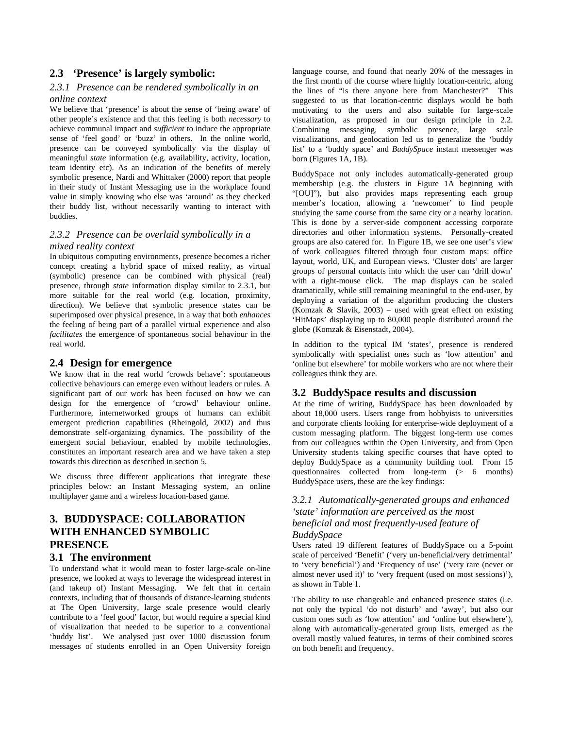## **2.3 'Presence' is largely symbolic:**

#### *2.3.1 Presence can be rendered symbolically in an online context*

We believe that 'presence' is about the sense of 'being aware' of other people's existence and that this feeling is both *necessary* to achieve communal impact and *sufficient* to induce the appropriate sense of 'feel good' or 'buzz' in others. In the online world, presence can be conveyed symbolically via the display of meaningful *state* information (e.g. availability, activity, location, team identity etc). As an indication of the benefits of merely symbolic presence, Nardi and Whittaker (2000) report that people in their study of Instant Messaging use in the workplace found value in simply knowing who else was 'around' as they checked their buddy list, without necessarily wanting to interact with buddies.

#### *2.3.2 Presence can be overlaid symbolically in a mixed reality context*

In ubiquitous computing environments, presence becomes a richer concept creating a hybrid space of mixed reality, as virtual (symbolic) presence can be combined with physical (real) presence, through *state* information display similar to 2.3.1, but more suitable for the real world (e.g. location, proximity, direction). We believe that symbolic presence states can be superimposed over physical presence, in a way that both *enhances* the feeling of being part of a parallel virtual experience and also *facilitates* the emergence of spontaneous social behaviour in the real world.

#### **2.4 Design for emergence**

We know that in the real world 'crowds behave': spontaneous collective behaviours can emerge even without leaders or rules. A significant part of our work has been focused on how we can design for the emergence of 'crowd' behaviour online. Furthermore, internetworked groups of humans can exhibit emergent prediction capabilities (Rheingold, 2002) and thus demonstrate self-organizing dynamics. The possibility of the emergent social behaviour, enabled by mobile technologies, constitutes an important research area and we have taken a step towards this direction as described in section 5.

We discuss three different applications that integrate these principles below: an Instant Messaging system, an online multiplayer game and a wireless location-based game.

## **3. BUDDYSPACE: COLLABORATION WITH ENHANCED SYMBOLIC PRESENCE**

### **3.1 The environment**

To understand what it would mean to foster large-scale on-line presence, we looked at ways to leverage the widespread interest in (and takeup of) Instant Messaging. We felt that in certain contexts, including that of thousands of distance-learning students at The Open University, large scale presence would clearly contribute to a 'feel good' factor, but would require a special kind of visualization that needed to be superior to a conventional 'buddy list'. We analysed just over 1000 discussion forum messages of students enrolled in an Open University foreign

language course, and found that nearly 20% of the messages in the first month of the course where highly location-centric, along the lines of "is there anyone here from Manchester?" This suggested to us that location-centric displays would be both motivating to the users and also suitable for large-scale visualization, as proposed in our design principle in 2.2. Combining messaging, symbolic presence, large scale visualizations, and geolocation led us to generalize the 'buddy list' to a 'buddy space' and *BuddySpace* instant messenger was born (Figures 1A, 1B).

BuddySpace not only includes automatically-generated group membership (e.g. the clusters in Figure 1A beginning with "[OU]"), but also provides maps representing each group member's location, allowing a 'newcomer' to find people studying the same course from the same city or a nearby location. This is done by a server-side component accessing corporate directories and other information systems. Personally-created groups are also catered for. In Figure 1B, we see one user's view of work colleagues filtered through four custom maps: office layout, world, UK, and European views. 'Cluster dots' are larger groups of personal contacts into which the user can 'drill down' with a right-mouse click. The map displays can be scaled dramatically, while still remaining meaningful to the end-user, by deploying a variation of the algorithm producing the clusters (Komzak & Slavik, 2003) – used with great effect on existing 'HitMaps' displaying up to 80,000 people distributed around the globe (Komzak & Eisenstadt, 2004).

In addition to the typical IM 'states', presence is rendered symbolically with specialist ones such as 'low attention' and 'online but elsewhere' for mobile workers who are not where their colleagues think they are.

## **3.2 BuddySpace results and discussion**

At the time of writing, BuddySpace has been downloaded by about 18,000 users. Users range from hobbyists to universities and corporate clients looking for enterprise-wide deployment of a custom messaging platform. The biggest long-term use comes from our colleagues within the Open University, and from Open University students taking specific courses that have opted to deploy BuddySpace as a community building tool. From 15 questionnaires collected from long-term (> 6 months) BuddySpace users, these are the key findings:

## *3.2.1 Automatically-generated groups and enhanced 'state' information are perceived as the most beneficial and most frequently-used feature of*

#### *BuddySpace*

Users rated 19 different features of BuddySpace on a 5-point scale of perceived 'Benefit' ('very un-beneficial/very detrimental' to 'very beneficial') and 'Frequency of use' ('very rare (never or almost never used it)' to 'very frequent (used on most sessions)'), as shown in Table 1.

The ability to use changeable and enhanced presence states (i.e. not only the typical 'do not disturb' and 'away', but also our custom ones such as 'low attention' and 'online but elsewhere'), along with automatically-generated group lists, emerged as the overall mostly valued features, in terms of their combined scores on both benefit and frequency.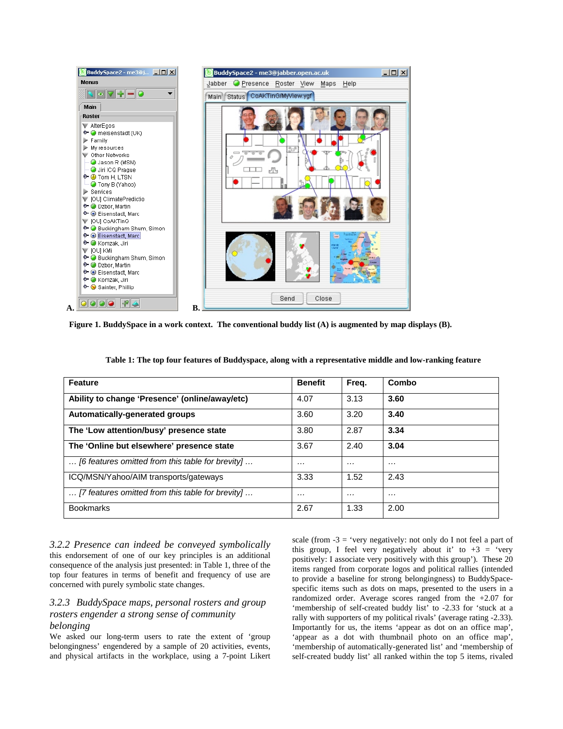

**Figure 1. BuddySpace in a work context. The conventional buddy list (A) is augmented by map displays (B).**

| <b>Feature</b>                                   | <b>Benefit</b> | Freq.    | Combo    |
|--------------------------------------------------|----------------|----------|----------|
| Ability to change 'Presence' (online/away/etc)   | 4.07           | 3.13     | 3.60     |
| Automatically-generated groups                   | 3.60           | 3.20     | 3.40     |
| The 'Low attention/busy' presence state          | 3.80           | 2.87     | 3.34     |
| The 'Online but elsewhere' presence state        | 3.67           | 2.40     | 3.04     |
| [6 features omitted from this table for brevity] | $\cdots$       | $\cdots$ | $\cdots$ |
| ICQ/MSN/Yahoo/AIM transports/gateways            | 3.33           | 1.52     | 2.43     |
| [7 features omitted from this table for brevity] | $\cdots$       | $\cdots$ | $\cdots$ |
| <b>Bookmarks</b>                                 | 2.67           | 1.33     | 2.00     |

**Table 1: The top four features of Buddyspace, along with a representative middle and low-ranking feature**

*3.2.2 Presence can indeed be conveyed symbolically*  this endorsement of one of our key principles is an additional consequence of the analysis just presented: in Table 1, three of the top four features in terms of benefit and frequency of use are concerned with purely symbolic state changes.

#### *3.2.3 BuddySpace maps, personal rosters and group rosters engender a strong sense of community belonging*

We asked our long-term users to rate the extent of 'group belongingness' engendered by a sample of 20 activities, events, and physical artifacts in the workplace, using a 7-point Likert scale (from  $-3$  = 'very negatively: not only do I not feel a part of this group, I feel very negatively about it' to  $+3 =$  'very positively: I associate very positively with this group'). These 20 items ranged from corporate logos and political rallies (intended to provide a baseline for strong belongingness) to BuddySpacespecific items such as dots on maps, presented to the users in a randomized order. Average scores ranged from the +2.07 for 'membership of self-created buddy list' to -2.33 for 'stuck at a rally with supporters of my political rivals' (average rating -2.33). Importantly for us, the items 'appear as dot on an office map', 'appear as a dot with thumbnail photo on an office map', 'membership of automatically-generated list' and 'membership of self-created buddy list' all ranked within the top 5 items, rivaled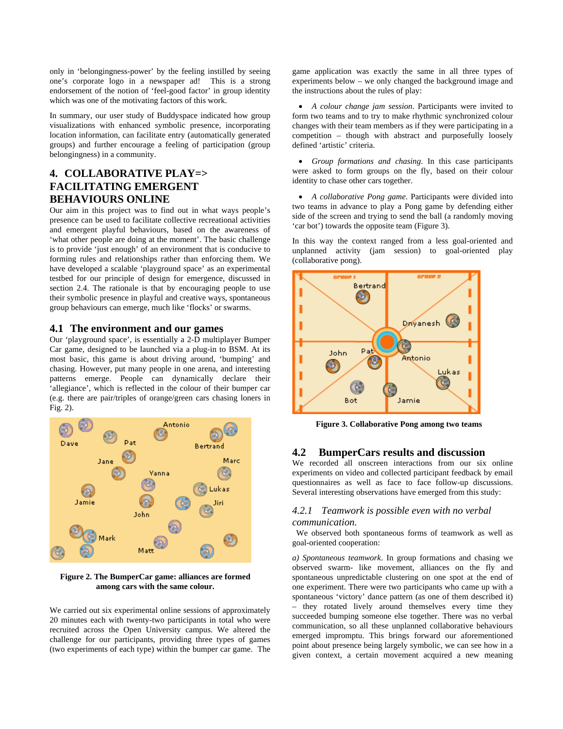only in 'belongingness-power' by the feeling instilled by seeing one's corporate logo in a newspaper ad! This is a strong endorsement of the notion of 'feel-good factor' in group identity which was one of the motivating factors of this work.

In summary, our user study of Buddyspace indicated how group visualizations with enhanced symbolic presence, incorporating location information, can facilitate entry (automatically generated groups) and further encourage a feeling of participation (group belongingness) in a community.

## **4. COLLABORATIVE PLAY=> FACILITATING EMERGENT BEHAVIOURS ONLINE**

Our aim in this project was to find out in what ways people's presence can be used to facilitate collective recreational activities and emergent playful behaviours, based on the awareness of 'what other people are doing at the moment'. The basic challenge is to provide 'just enough' of an environment that is conducive to forming rules and relationships rather than enforcing them. We have developed a scalable 'playground space' as an experimental testbed for our principle of design for emergence, discussed in section 2.4. The rationale is that by encouraging people to use their symbolic presence in playful and creative ways, spontaneous group behaviours can emerge, much like 'flocks' or swarms.

#### **4.1 The environment and our games**

Our 'playground space', is essentially a 2-D multiplayer Bumper Car game, designed to be launched via a plug-in to BSM. At its most basic, this game is about driving around, 'bumping' and chasing. However, put many people in one arena, and interesting patterns emerge. People can dynamically declare their 'allegiance', which is reflected in the colour of their bumper car (e.g. there are pair/triples of orange/green cars chasing loners in Fig. 2).



**Figure 2. The BumperCar game: alliances are formed among cars with the same colour.** 

We carried out six experimental online sessions of approximately 20 minutes each with twenty-two participants in total who were recruited across the Open University campus. We altered the challenge for our participants, providing three types of games (two experiments of each type) within the bumper car game. The game application was exactly the same in all three types of experiments below – we only changed the background image and the instructions about the rules of play:

• *A colour change jam session*. Participants were invited to form two teams and to try to make rhythmic synchronized colour changes with their team members as if they were participating in a competition – though with abstract and purposefully loosely defined 'artistic' criteria.

• *Group formations and chasing*. In this case participants were asked to form groups on the fly, based on their colour identity to chase other cars together.

• *A collaborative Pong game*. Participants were divided into two teams in advance to play a Pong game by defending either side of the screen and trying to send the ball (a randomly moving 'car bot') towards the opposite team (Figure 3).

In this way the context ranged from a less goal-oriented and unplanned activity (jam session) to goal-oriented play (collaborative pong).



**Figure 3. Collaborative Pong among two teams** 

#### **4.2 BumperCars results and discussion**

We recorded all onscreen interactions from our six online experiments on video and collected participant feedback by email questionnaires as well as face to face follow-up discussions. Several interesting observations have emerged from this study:

#### *4.2.1 Teamwork is possible even with no verbal communication.*

We observed both spontaneous forms of teamwork as well as goal-oriented cooperation:

*a) Spontaneous teamwork*. In group formations and chasing we observed swarm- like movement, alliances on the fly and spontaneous unpredictable clustering on one spot at the end of one experiment. There were two participants who came up with a spontaneous 'victory' dance pattern (as one of them described it) – they rotated lively around themselves every time they succeeded bumping someone else together. There was no verbal communication, so all these unplanned collaborative behaviours emerged impromptu. This brings forward our aforementioned point about presence being largely symbolic, we can see how in a given context, a certain movement acquired a new meaning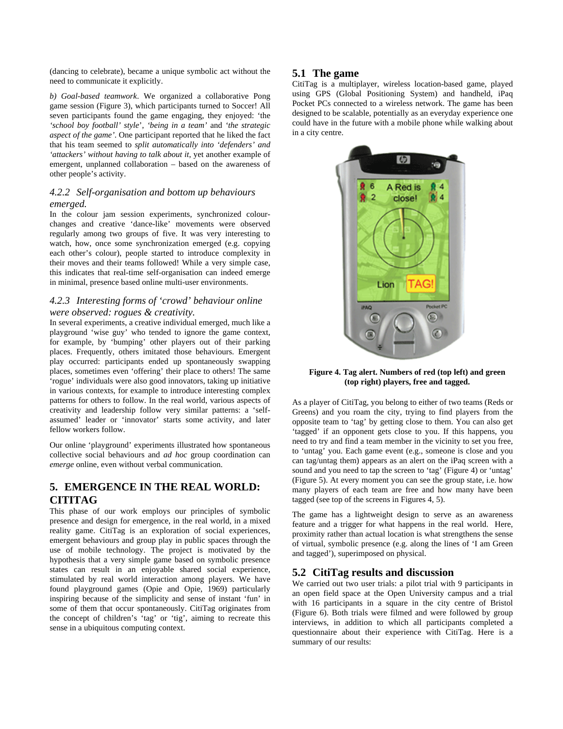(dancing to celebrate), became a unique symbolic act without the need to communicate it explicitly.

*b) Goal-based teamwork*. We organized a collaborative Pong game session (Figure 3), which participants turned to Soccer! All seven participants found the game engaging, they enjoyed: 'the *'school boy football' style*', *'being in a team'* and *'the strategic aspect of the game'*. One participant reported that he liked the fact that his team seemed to *split automatically into 'defenders' and 'attackers' without having to talk about it*, yet another example of emergent, unplanned collaboration – based on the awareness of other people's activity.

#### *4.2.2 Self-organisation and bottom up behaviours emerged.*

In the colour jam session experiments, synchronized colourchanges and creative 'dance-like' movements were observed regularly among two groups of five. It was very interesting to watch, how, once some synchronization emerged (e.g. copying each other's colour), people started to introduce complexity in their moves and their teams followed! While a very simple case, this indicates that real-time self-organisation can indeed emerge in minimal, presence based online multi-user environments.

#### *4.2.3 Interesting forms of 'crowd' behaviour online were observed: rogues & creativity.*

In several experiments, a creative individual emerged, much like a playground 'wise guy' who tended to ignore the game context, for example, by 'bumping' other players out of their parking places. Frequently, others imitated those behaviours. Emergent play occurred: participants ended up spontaneously swapping places, sometimes even 'offering' their place to others! The same 'rogue' individuals were also good innovators, taking up initiative in various contexts, for example to introduce interesting complex patterns for others to follow. In the real world, various aspects of creativity and leadership follow very similar patterns: a 'selfassumed' leader or 'innovator' starts some activity, and later fellow workers follow.

Our online 'playground' experiments illustrated how spontaneous collective social behaviours and *ad hoc* group coordination can *emerge* online, even without verbal communication.

## **5. EMERGENCE IN THE REAL WORLD: CITITAG**

This phase of our work employs our principles of symbolic presence and design for emergence, in the real world, in a mixed reality game. CitiTag is an exploration of social experiences, emergent behaviours and group play in public spaces through the use of mobile technology. The project is motivated by the hypothesis that a very simple game based on symbolic presence states can result in an enjoyable shared social experience, stimulated by real world interaction among players. We have found playground games (Opie and Opie, 1969) particularly inspiring because of the simplicity and sense of instant 'fun' in some of them that occur spontaneously. CitiTag originates from the concept of children's 'tag' or 'tig', aiming to recreate this sense in a ubiquitous computing context.

#### **5.1 The game**

CitiTag is a multiplayer, wireless location-based game, played using GPS (Global Positioning System) and handheld, iPaq Pocket PCs connected to a wireless network. The game has been designed to be scalable, potentially as an everyday experience one could have in the future with a mobile phone while walking about in a city centre.



**Figure 4. Tag alert. Numbers of red (top left) and green (top right) players, free and tagged.** 

As a player of CitiTag, you belong to either of two teams (Reds or Greens) and you roam the city, trying to find players from the opposite team to 'tag' by getting close to them. You can also get 'tagged' if an opponent gets close to you. If this happens, you need to try and find a team member in the vicinity to set you free, to 'untag' you. Each game event (e.g., someone is close and you can tag/untag them) appears as an alert on the iPaq screen with a sound and you need to tap the screen to 'tag' (Figure 4) or 'untag' (Figure 5). At every moment you can see the group state, i.e. how many players of each team are free and how many have been tagged (see top of the screens in Figures 4, 5).

The game has a lightweight design to serve as an awareness feature and a trigger for what happens in the real world. Here, proximity rather than actual location is what strengthens the sense of virtual, symbolic presence (e.g. along the lines of 'I am Green and tagged'), superimposed on physical.

#### **5.2 CitiTag results and discussion**

We carried out two user trials: a pilot trial with 9 participants in an open field space at the Open University campus and a trial with 16 participants in a square in the city centre of Bristol (Figure 6). Both trials were filmed and were followed by group interviews, in addition to which all participants completed a questionnaire about their experience with CitiTag. Here is a summary of our results: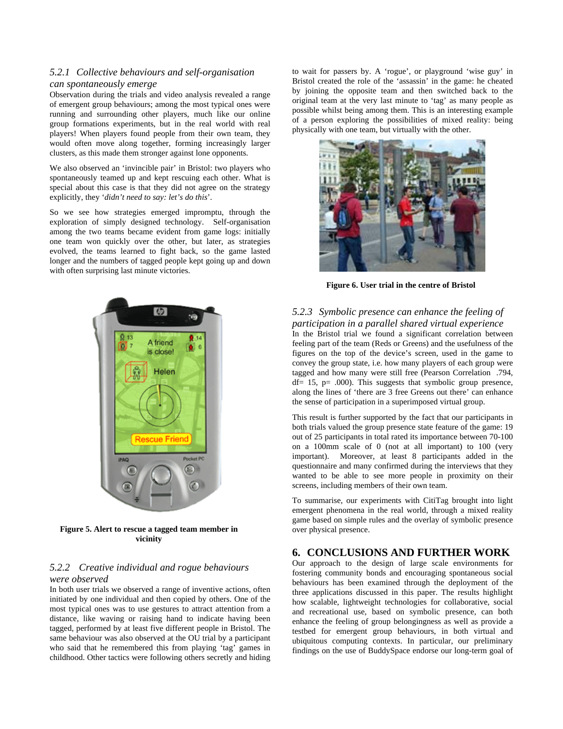#### *5.2.1 Collective behaviours and self-organisation can spontaneously emerge*

Observation during the trials and video analysis revealed a range of emergent group behaviours; among the most typical ones were running and surrounding other players, much like our online group formations experiments, but in the real world with real players! When players found people from their own team, they would often move along together, forming increasingly larger clusters, as this made them stronger against lone opponents.

We also observed an 'invincible pair' in Bristol: two players who spontaneously teamed up and kept rescuing each other. What is special about this case is that they did not agree on the strategy explicitly, they '*didn't need to say: let's do this*'.

So we see how strategies emerged impromptu, through the exploration of simply designed technology. Self-organisation among the two teams became evident from game logs: initially one team won quickly over the other, but later, as strategies evolved, the teams learned to fight back, so the game lasted longer and the numbers of tagged people kept going up and down with often surprising last minute victories.



**Figure 5. Alert to rescue a tagged team member in** over physical presence. **vicinity**

## *5.2.2 Creative individual and rogue behaviours were observed*

In both user trials we observed a range of inventive actions, often initiated by one individual and then copied by others. One of the most typical ones was to use gestures to attract attention from a distance, like waving or raising hand to indicate having been tagged, performed by at least five different people in Bristol. The same behaviour was also observed at the OU trial by a participant who said that he remembered this from playing 'tag' games in childhood. Other tactics were following others secretly and hiding to wait for passers by. A 'rogue', or playground 'wise guy' in Bristol created the role of the 'assassin' in the game: he cheated by joining the opposite team and then switched back to the original team at the very last minute to 'tag' as many people as possible whilst being among them. This is an interesting example of a person exploring the possibilities of mixed reality: being physically with one team, but virtually with the other.



**Figure 6. User trial in the centre of Bristol** 

#### *5.2.3 Symbolic presence can enhance the feeling of participation in a parallel shared virtual experience*

In the Bristol trial we found a significant correlation between feeling part of the team (Reds or Greens) and the usefulness of the figures on the top of the device's screen, used in the game to convey the group state, i.e. how many players of each group were tagged and how many were still free (Pearson Correlation .794, df= 15, p= .000). This suggests that symbolic group presence, along the lines of 'there are 3 free Greens out there' can enhance the sense of participation in a superimposed virtual group.

This result is further supported by the fact that our participants in both trials valued the group presence state feature of the game: 19 out of 25 participants in total rated its importance between 70-100 on a 100mm scale of 0 (not at all important) to 100 (very important). Moreover, at least 8 participants added in the questionnaire and many confirmed during the interviews that they wanted to be able to see more people in proximity on their screens, including members of their own team.

To summarise, our experiments with CitiTag brought into light emergent phenomena in the real world, through a mixed reality game based on simple rules and the overlay of symbolic presence

## **6. CONCLUSIONS AND FURTHER WORK**

Our approach to the design of large scale environments for fostering community bonds and encouraging spontaneous social behaviours has been examined through the deployment of the three applications discussed in this paper. The results highlight how scalable, lightweight technologies for collaborative, social and recreational use, based on symbolic presence, can both enhance the feeling of group belongingness as well as provide a testbed for emergent group behaviours, in both virtual and ubiquitous computing contexts. In particular, our preliminary findings on the use of BuddySpace endorse our long-term goal of